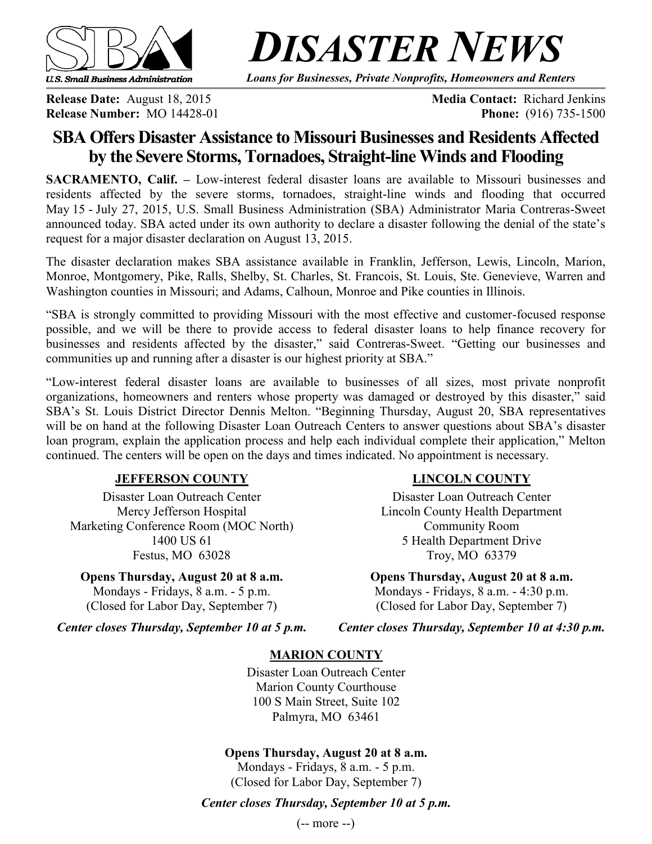

*DISASTER NEWS*

*Loans for Businesses, Private Nonprofits, Homeowners and Renters*

**Release Number:** MO 14428-01 **Phone:** (916) 735-1500

**Release Date:** August 18, 2015 **Media Contact:** Richard Jenkins

# **SBA Offers Disaster Assistance to Missouri Businesses and Residents Affected by the Severe Storms, Tornadoes, Straight-line Winds and Flooding**

**SACRAMENTO, Calif. –** Low-interest federal disaster loans are available to Missouri businesses and residents affected by the severe storms, tornadoes, straight-line winds and flooding that occurred May 15 - July 27, 2015, U.S. Small Business Administration (SBA) Administrator Maria Contreras-Sweet announced today. SBA acted under its own authority to declare a disaster following the denial of the state's request for a major disaster declaration on August 13, 2015.

The disaster declaration makes SBA assistance available in Franklin, Jefferson, Lewis, Lincoln, Marion, Monroe, Montgomery, Pike, Ralls, Shelby, St. Charles, St. Francois, St. Louis, Ste. Genevieve, Warren and Washington counties in Missouri; and Adams, Calhoun, Monroe and Pike counties in Illinois.

"SBA is strongly committed to providing Missouri with the most effective and customer-focused response possible, and we will be there to provide access to federal disaster loans to help finance recovery for businesses and residents affected by the disaster," said Contreras-Sweet. "Getting our businesses and communities up and running after a disaster is our highest priority at SBA."

"Low-interest federal disaster loans are available to businesses of all sizes, most private nonprofit organizations, homeowners and renters whose property was damaged or destroyed by this disaster," said SBA's St. Louis District Director Dennis Melton. "Beginning Thursday, August 20, SBA representatives will be on hand at the following Disaster Loan Outreach Centers to answer questions about SBA's disaster loan program, explain the application process and help each individual complete their application," Melton continued. The centers will be open on the days and times indicated. No appointment is necessary.

### **JEFFERSON COUNTY**

Disaster Loan Outreach Center Mercy Jefferson Hospital Marketing Conference Room (MOC North) 1400 US 61 Festus, MO 63028

**Opens Thursday, August 20 at 8 a.m.** Mondays - Fridays, 8 a.m. - 5 p.m. (Closed for Labor Day, September 7)

### **LINCOLN COUNTY**

Disaster Loan Outreach Center Lincoln County Health Department Community Room 5 Health Department Drive Troy, MO 63379

**Opens Thursday, August 20 at 8 a.m.** Mondays - Fridays, 8 a.m. - 4:30 p.m. (Closed for Labor Day, September 7)

*Center closes Thursday, September 10 at 5 p.m.*

*Center closes Thursday, September 10 at 4:30 p.m.*

# **MARION COUNTY**

Disaster Loan Outreach Center Marion County Courthouse 100 S Main Street, Suite 102 Palmyra, MO 63461

## **Opens Thursday, August 20 at 8 a.m.**

Mondays - Fridays, 8 a.m. - 5 p.m. (Closed for Labor Day, September 7)

## *Center closes Thursday, September 10 at 5 p.m.*

(-- more --)